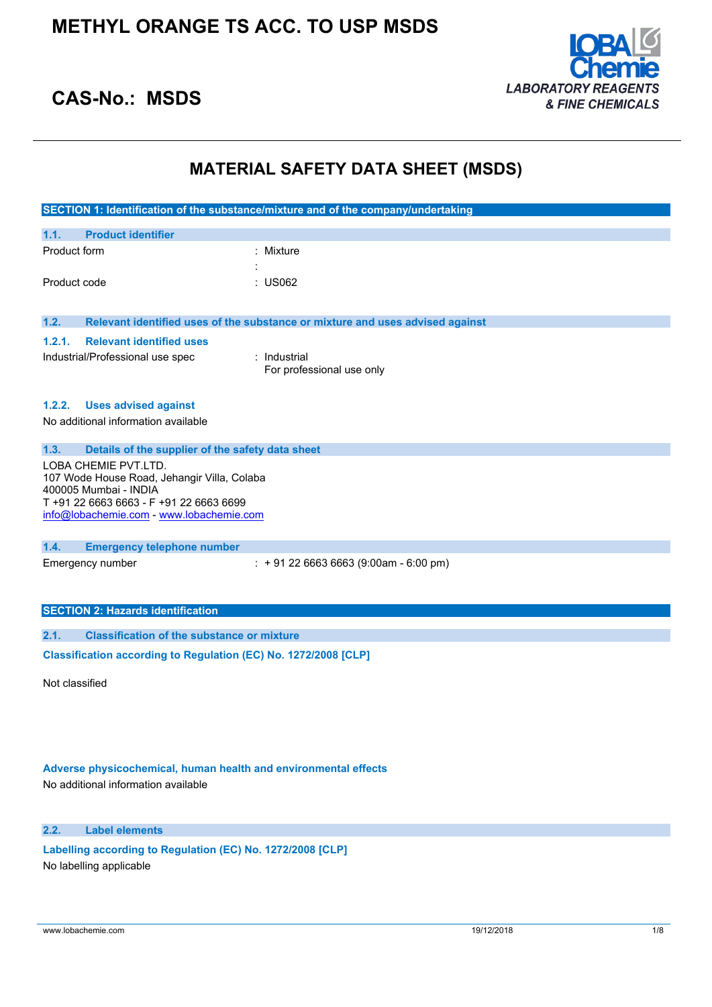

# **CAS-No.: MSDS**

# **MATERIAL SAFETY DATA SHEET (MSDS)**

|                                                                      | SECTION 1: Identification of the substance/mixture and of the company/undertaking |  |
|----------------------------------------------------------------------|-----------------------------------------------------------------------------------|--|
| 1.1.<br><b>Product identifier</b>                                    |                                                                                   |  |
| Product form                                                         | $:$ Mixture                                                                       |  |
|                                                                      |                                                                                   |  |
| Product code                                                         | : US062                                                                           |  |
|                                                                      |                                                                                   |  |
| 1.2.                                                                 | Relevant identified uses of the substance or mixture and uses advised against     |  |
| <b>Relevant identified uses</b><br>1.2.1.                            |                                                                                   |  |
| Industrial/Professional use spec                                     | : Industrial                                                                      |  |
|                                                                      | For professional use only                                                         |  |
|                                                                      |                                                                                   |  |
| <b>Uses advised against</b><br>1.2.2.                                |                                                                                   |  |
| No additional information available                                  |                                                                                   |  |
|                                                                      |                                                                                   |  |
| 1.3.<br>Details of the supplier of the safety data sheet             |                                                                                   |  |
| LOBA CHEMIE PVT.LTD.                                                 |                                                                                   |  |
| 107 Wode House Road, Jehangir Villa, Colaba<br>400005 Mumbai - INDIA |                                                                                   |  |
| T +91 22 6663 6663 - F +91 22 6663 6699                              |                                                                                   |  |
| info@lobachemie.com - www.lobachemie.com                             |                                                                                   |  |
|                                                                      |                                                                                   |  |
| 1.4.<br><b>Emergency telephone number</b>                            |                                                                                   |  |
| Emergency number                                                     | $: +912266636663(9:00am - 6:00 pm)$                                               |  |
|                                                                      |                                                                                   |  |
|                                                                      |                                                                                   |  |
| <b>SECTION 2: Hazards identification</b>                             |                                                                                   |  |
| <b>Classification of the substance or mixture</b><br>2.1.            |                                                                                   |  |
| Classification according to Regulation (EC) No. 1272/2008 [CLP]      |                                                                                   |  |
|                                                                      |                                                                                   |  |

Not classified

## **Adverse physicochemical, human health and environmental effects**

No additional information available

## **2.2. Label elements**

**Labelling according to Regulation** (EC) **No. 1272/2008** [CLP] No labelling applicable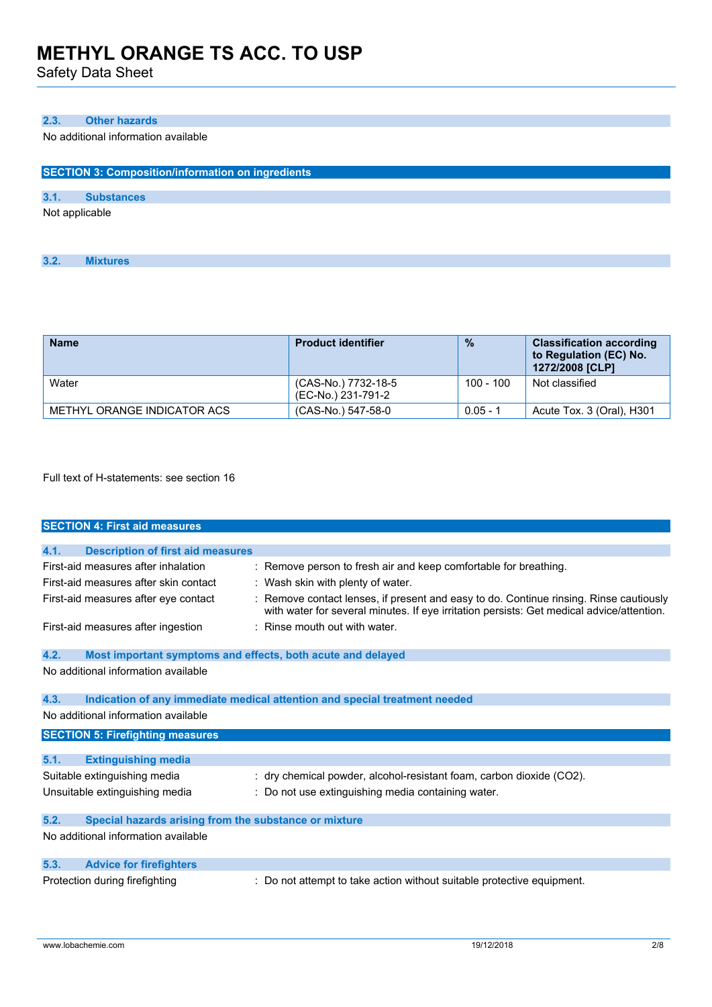Safety Data Sheet

## **2.3. Other hazards**

No additional information available

| <b>SECTION 3: Composition/information on ingredients</b> |                   |  |  |
|----------------------------------------------------------|-------------------|--|--|
|                                                          |                   |  |  |
| 3.1.                                                     | <b>Substances</b> |  |  |
| Not applicable                                           |                   |  |  |

| <b>Name</b>                 | <b>Product identifier</b>                 | $\frac{0}{2}$ | <b>Classification according</b><br>to Regulation (EC) No.<br>1272/2008 [CLP] |
|-----------------------------|-------------------------------------------|---------------|------------------------------------------------------------------------------|
| Water                       | (CAS-No.) 7732-18-5<br>(EC-No.) 231-791-2 | $100 - 100$   | Not classified                                                               |
| METHYL ORANGE INDICATOR ACS | (CAS-No.) 547-58-0                        | $0.05 - 1$    | Acute Tox. 3 (Oral), H301                                                    |

Full text of H-statements: see section 16

|      | <b>SECTION 4: First aid measures</b>                        |                                                                                                                                                                                   |
|------|-------------------------------------------------------------|-----------------------------------------------------------------------------------------------------------------------------------------------------------------------------------|
|      |                                                             |                                                                                                                                                                                   |
| 4.1. | <b>Description of first aid measures</b>                    |                                                                                                                                                                                   |
|      | First-aid measures after inhalation                         | Remove person to fresh air and keep comfortable for breathing.                                                                                                                    |
|      | First-aid measures after skin contact                       | : Wash skin with plenty of water.                                                                                                                                                 |
|      | First-aid measures after eye contact                        | Remove contact lenses, if present and easy to do. Continue rinsing. Rinse cautiously<br>with water for several minutes. If eye irritation persists: Get medical advice/attention. |
|      | First-aid measures after ingestion                          | Rinse mouth out with water.                                                                                                                                                       |
| 4.2. | Most important symptoms and effects, both acute and delayed |                                                                                                                                                                                   |
|      | No additional information available                         |                                                                                                                                                                                   |
| 4.3. |                                                             | Indication of any immediate medical attention and special treatment needed                                                                                                        |
|      | No additional information available                         |                                                                                                                                                                                   |
|      | <b>SECTION 5: Firefighting measures</b>                     |                                                                                                                                                                                   |
| 5.1. | <b>Extinguishing media</b>                                  |                                                                                                                                                                                   |
|      | Suitable extinguishing media                                | : dry chemical powder, alcohol-resistant foam, carbon dioxide (CO2).                                                                                                              |
|      | Unsuitable extinguishing media                              | : Do not use extinguishing media containing water.                                                                                                                                |
| 5.2. | Special hazards arising from the substance or mixture       |                                                                                                                                                                                   |
|      | No additional information available                         |                                                                                                                                                                                   |
| 5.3. | <b>Advice for firefighters</b>                              |                                                                                                                                                                                   |
|      | Protection during firefighting                              | Do not attempt to take action without suitable protective equipment.                                                                                                              |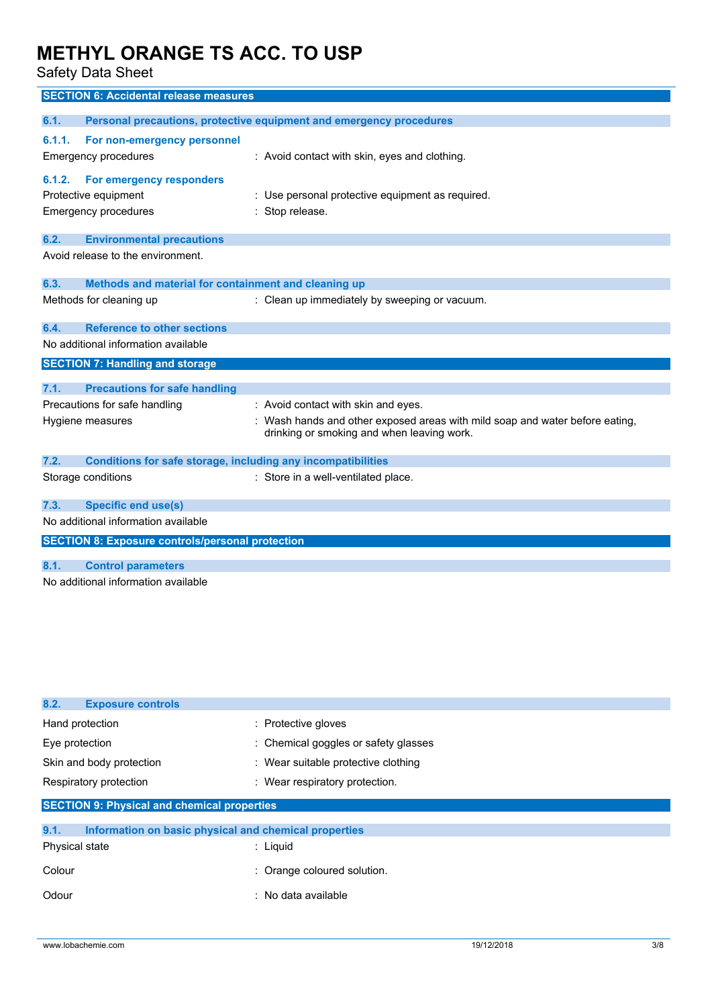Safety Data Sheet

| <b>SECTION 6: Accidental release measures</b>                        |                                                                                                                          |
|----------------------------------------------------------------------|--------------------------------------------------------------------------------------------------------------------------|
| 6.1.                                                                 | Personal precautions, protective equipment and emergency procedures                                                      |
|                                                                      |                                                                                                                          |
| 6.1.1.<br>For non-emergency personnel                                |                                                                                                                          |
| <b>Emergency procedures</b>                                          | : Avoid contact with skin, eyes and clothing.                                                                            |
| 6.1.2.<br>For emergency responders                                   |                                                                                                                          |
| Protective equipment                                                 | : Use personal protective equipment as required.                                                                         |
| Emergency procedures                                                 | Stop release.                                                                                                            |
|                                                                      |                                                                                                                          |
| 6.2.<br><b>Environmental precautions</b>                             |                                                                                                                          |
| Avoid release to the environment.                                    |                                                                                                                          |
| Methods and material for containment and cleaning up<br>6.3.         |                                                                                                                          |
| Methods for cleaning up                                              | : Clean up immediately by sweeping or vacuum.                                                                            |
|                                                                      |                                                                                                                          |
| <b>Reference to other sections</b><br>6.4.                           |                                                                                                                          |
| No additional information available                                  |                                                                                                                          |
| <b>SECTION 7: Handling and storage</b>                               |                                                                                                                          |
|                                                                      |                                                                                                                          |
| 7.1.<br><b>Precautions for safe handling</b>                         |                                                                                                                          |
| Precautions for safe handling                                        | : Avoid contact with skin and eyes.                                                                                      |
| Hygiene measures                                                     | Wash hands and other exposed areas with mild soap and water before eating,<br>drinking or smoking and when leaving work. |
|                                                                      |                                                                                                                          |
| 7.2.<br>Conditions for safe storage, including any incompatibilities |                                                                                                                          |
| Storage conditions                                                   | : Store in a well-ventilated place.                                                                                      |
|                                                                      |                                                                                                                          |
| <b>Specific end use(s)</b><br>7.3.                                   |                                                                                                                          |
| No additional information available                                  |                                                                                                                          |
| <b>SECTION 8: Exposure controls/personal protection</b>              |                                                                                                                          |
|                                                                      |                                                                                                                          |
| <b>Control parameters</b><br>8.1.                                    |                                                                                                                          |

| 8.2.<br><b>Exposure controls</b>                              |                                      |  |  |
|---------------------------------------------------------------|--------------------------------------|--|--|
| Hand protection                                               | : Protective gloves                  |  |  |
| Eye protection                                                | : Chemical goggles or safety glasses |  |  |
| Skin and body protection                                      | : Wear suitable protective clothing  |  |  |
| Respiratory protection                                        | : Wear respiratory protection.       |  |  |
| <b>SECTION 9: Physical and chemical properties</b>            |                                      |  |  |
| 9.1.<br>Information on basic physical and chemical properties |                                      |  |  |
| Physical state                                                | $:$ Liquid                           |  |  |
| Colour                                                        | : Orange coloured solution.          |  |  |
| Odour                                                         | : No data available                  |  |  |
|                                                               |                                      |  |  |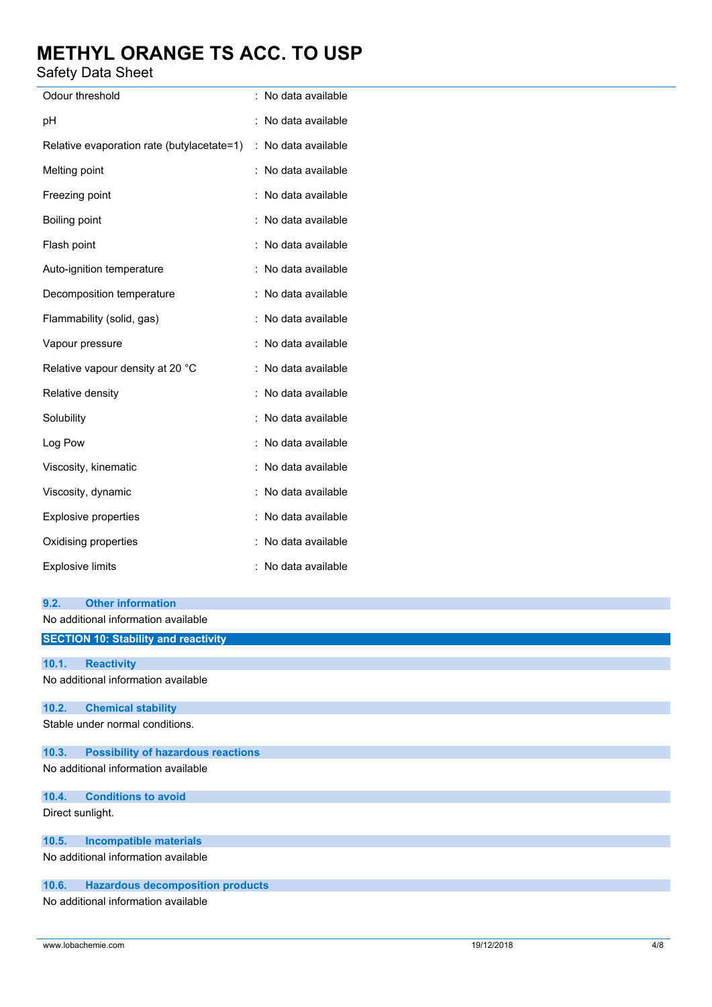Safety Data Sheet

| Odour threshold                                                   | : No data available |
|-------------------------------------------------------------------|---------------------|
| pH                                                                | : No data available |
| Relative evaporation rate (butylacetate=1)                        | : No data available |
| Melting point                                                     | : No data available |
| Freezing point                                                    | : No data available |
| Boiling point                                                     | : No data available |
| Flash point                                                       | : No data available |
| Auto-ignition temperature                                         | : No data available |
| Decomposition temperature                                         | : No data available |
| Flammability (solid, gas)                                         | : No data available |
| Vapour pressure                                                   | : No data available |
| Relative vapour density at 20 °C                                  | : No data available |
| Relative density                                                  | : No data available |
| Solubility                                                        | : No data available |
| Log Pow                                                           | : No data available |
| Viscosity, kinematic                                              | : No data available |
| Viscosity, dynamic                                                | : No data available |
| Explosive properties                                              | : No data available |
| Oxidising properties                                              | : No data available |
| <b>Explosive limits</b>                                           | : No data available |
| <b>Other information</b><br>9.2.                                  |                     |
| No additional information available                               |                     |
| <b>SECTION 10: Stability and reactivity</b>                       |                     |
|                                                                   |                     |
| 10.1.<br><b>Reactivity</b><br>No additional information available |                     |
|                                                                   |                     |

### **10.2. Chemical stability**

Stable under normal conditions.

## **10.3. Possibility of hazardous reactions**

No additional information available

# **10.4. Conditions to avoid**

Direct sunlight.

# **10.5. Incompatible materials**

No additional information available

# **10.6. Hazardous decomposition products**

No additional information available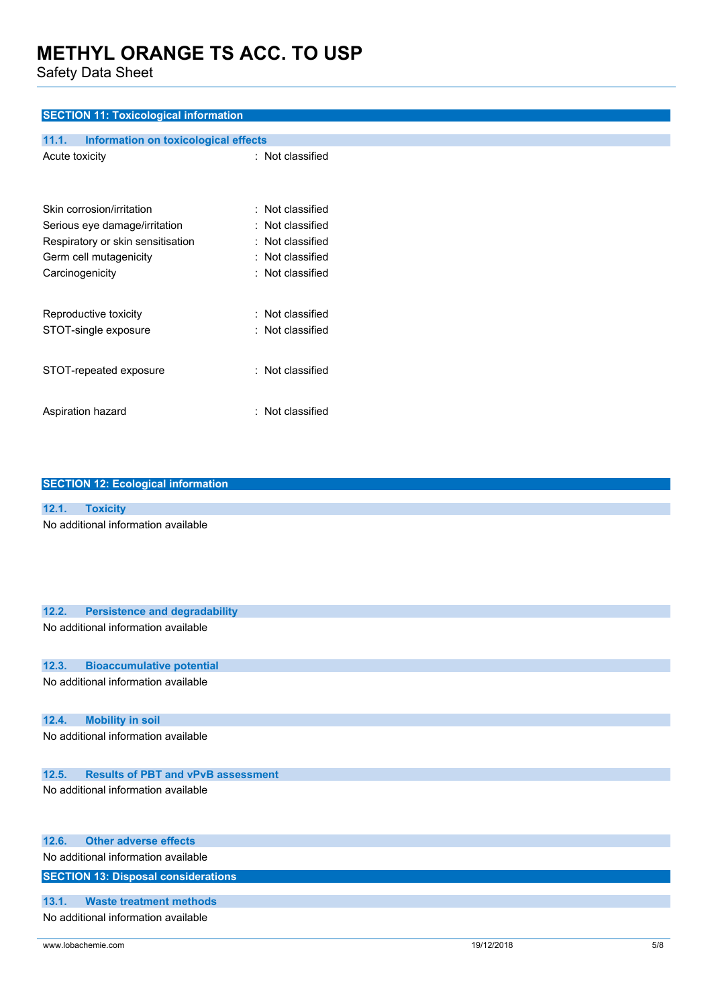Safety Data Sheet

## **SECTION 11: Toxicological information**

| 11.1.           | Information on toxicological effects |                      |
|-----------------|--------------------------------------|----------------------|
| Acute toxicity  |                                      | : Not classified     |
|                 | Skin corrosion/irritation            | $\pm$ Not classified |
|                 | Serious eye damage/irritation        | : Not classified     |
|                 | Respiratory or skin sensitisation    | : Not classified     |
|                 | Germ cell mutagenicity               | : Not classified     |
| Carcinogenicity |                                      | : Not classified     |
|                 | Reproductive toxicity                | : Not classified     |
|                 | STOT-single exposure                 | : Not classified     |
|                 | STOT-repeated exposure               | : Not classified     |
|                 | Aspiration hazard                    | Not classified       |

|       | <b>SECTION 12: Ecological information</b> |
|-------|-------------------------------------------|
|       |                                           |
| 12.1. | <b>Toxicity</b>                           |
|       | No additional information available       |
|       |                                           |
|       |                                           |
|       |                                           |
|       |                                           |
| 12.2. | <b>Persistence and degradability</b>      |
|       | No additional information available       |
|       |                                           |
| 12.3. | <b>Bioaccumulative potential</b>          |
|       | No additional information available       |
|       |                                           |
| 12.4. | <b>Mobility in soil</b>                   |
|       | No additional information available       |
|       |                                           |
| 12.5. | <b>Results of PBT and vPvB assessment</b> |

No additional information available

| 12.6. | <b>Other adverse effects</b>               |
|-------|--------------------------------------------|
|       | No additional information available        |
|       | <b>SECTION 13: Disposal considerations</b> |
|       |                                            |
| 13.1. | Waste treatment methods                    |
|       | No additional information available        |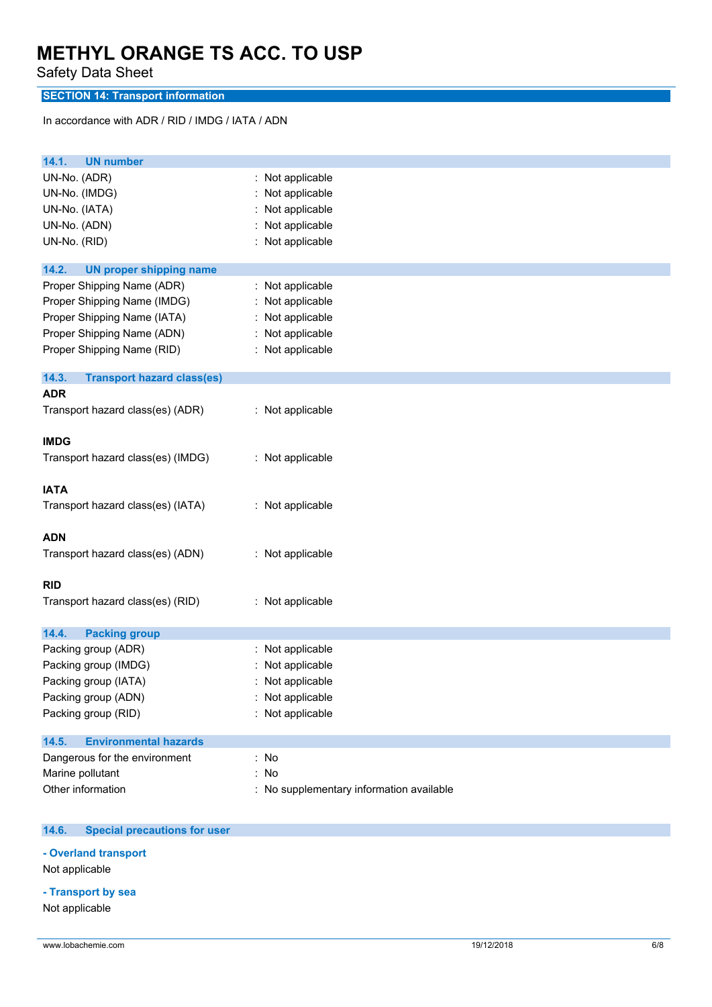Safety Data Sheet

# **SECTION 14: Transport information**

In accordance with ADR / RID / IMDG / IATA / ADN

| <b>UN number</b><br>14.1.                  |                                          |
|--------------------------------------------|------------------------------------------|
| UN-No. (ADR)                               | : Not applicable                         |
| UN-No. (IMDG)                              | Not applicable                           |
| UN-No. (IATA)                              | Not applicable                           |
| UN-No. (ADN)                               | Not applicable                           |
| UN-No. (RID)                               | : Not applicable                         |
| 14.2.<br><b>UN proper shipping name</b>    |                                          |
| Proper Shipping Name (ADR)                 | : Not applicable                         |
| Proper Shipping Name (IMDG)                | Not applicable                           |
| Proper Shipping Name (IATA)                | : Not applicable                         |
| Proper Shipping Name (ADN)                 | : Not applicable                         |
| Proper Shipping Name (RID)                 | : Not applicable                         |
| 14.3.<br><b>Transport hazard class(es)</b> |                                          |
| <b>ADR</b>                                 |                                          |
| Transport hazard class(es) (ADR)           | : Not applicable                         |
| <b>IMDG</b>                                |                                          |
| Transport hazard class(es) (IMDG)          | : Not applicable                         |
| <b>IATA</b>                                |                                          |
| Transport hazard class(es) (IATA)          | : Not applicable                         |
| <b>ADN</b>                                 |                                          |
| Transport hazard class(es) (ADN)           | : Not applicable                         |
| <b>RID</b>                                 |                                          |
| Transport hazard class(es) (RID)           | : Not applicable                         |
| 14.4.<br><b>Packing group</b>              |                                          |
| Packing group (ADR)                        | : Not applicable                         |
| Packing group (IMDG)                       | Not applicable                           |
| Packing group (IATA)                       | Not applicable                           |
| Packing group (ADN)                        | : Not applicable                         |
| Packing group (RID)                        | Not applicable                           |
| <b>Environmental hazards</b><br>14.5.      |                                          |
| Dangerous for the environment              | : No                                     |
| Marine pollutant                           | No                                       |
| Other information                          | : No supplementary information available |

#### $14.6.$ **14.6. Special precautions for user**

**- Overland transport**

Not applicable

# **- Transport by sea**

Not applicable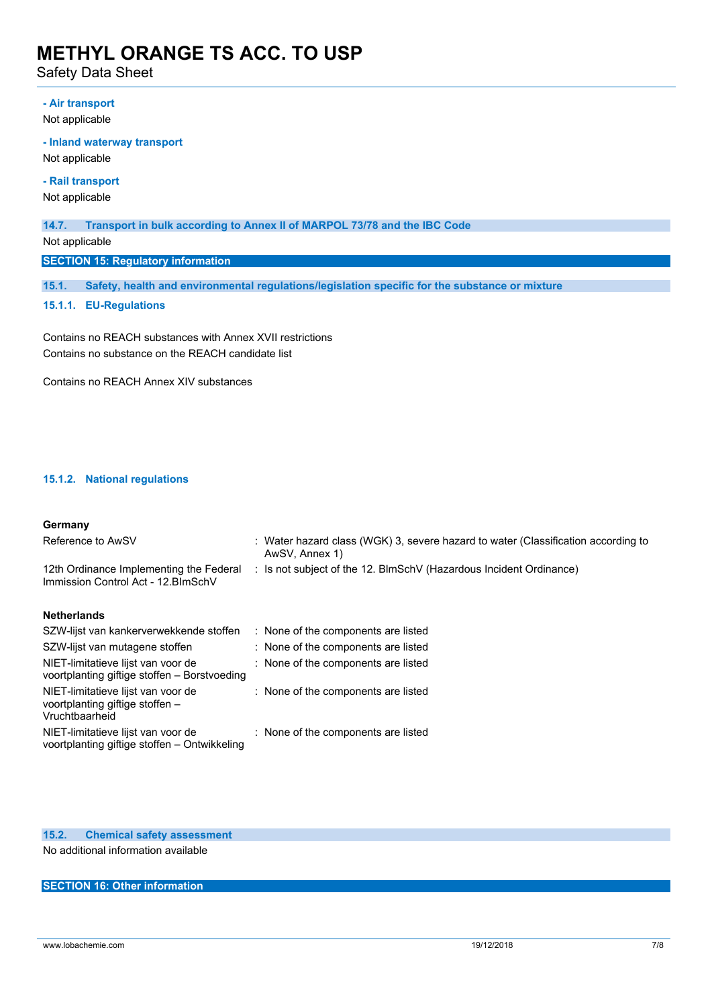Safety Data Sheet

## **- Air transport**

Not applicable

### **- Inland waterway transport**

Not applicable

# **- Rail transport**

Not applicable

## **14.7. Transport in bulk according to Annex II of MARPOL 73/78 and the IBC Code**

Not applicable

### **SECTION 15: Regulatory information**

**15.1. Safety, health and environmental regulations/legislation specific for the substance or mixture**

### **15.1.1. EU-Regulations**

Contains no REACH substances with Annex XVII restrictions Contains no substance on the REACH candidate list

Contains no REACH Annex XIV substances

## **15.1.2. National regulations**

### **Germany**

| Reference to AwSV                                                                       | : Water hazard class (WGK) 3, severe hazard to water (Classification according to<br>AwSV, Annex 1) |
|-----------------------------------------------------------------------------------------|-----------------------------------------------------------------------------------------------------|
| 12th Ordinance Implementing the Federal<br>Immission Control Act - 12. BlmSchV          | : Is not subject of the 12. BlmSchV (Hazardous Incident Ordinance)                                  |
| <b>Netherlands</b>                                                                      |                                                                                                     |
| SZW-lijst van kankerverwekkende stoffen                                                 | : None of the components are listed                                                                 |
| SZW-lijst van mutagene stoffen                                                          | : None of the components are listed                                                                 |
| NIET-limitatieve lijst van voor de<br>voortplanting giftige stoffen - Borstvoeding      | : None of the components are listed                                                                 |
| NIET-limitatieve lijst van voor de<br>voortplanting giftige stoffen -<br>Vruchtbaarheid | : None of the components are listed                                                                 |
| NIET-limitatieve lijst van voor de<br>voortplanting giftige stoffen – Ontwikkeling      | : None of the components are listed                                                                 |

## **15.2. Chemical safety assessment**

No additional information available

## **SECTION 16: Other information**